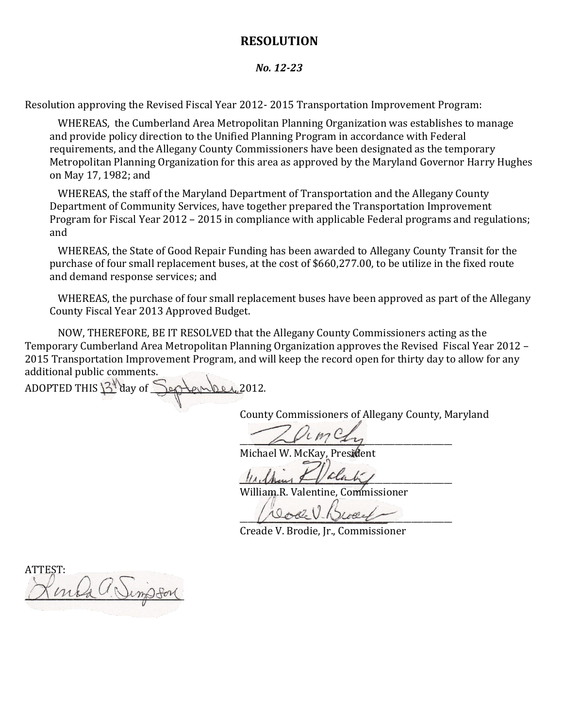## **RESOLUTION**

## *No. 12-23*

Resolution approving the Revised Fiscal Year 2012- 2015 Transportation Improvement Program:

WHEREAS, the Cumberland Area Metropolitan Planning Organization was establishes to manage and provide policy direction to the Unified Planning Program in accordance with Federal requirements, and the Allegany County Commissioners have been designated as the temporary Metropolitan Planning Organization for this area as approved by the Maryland Governor Harry Hughes on May 17, 1982; and

WHEREAS, the staff of the Maryland Department of Transportation and the Allegany County Department of Community Services, have together prepared the Transportation Improvement Program for Fiscal Year 2012 – 2015 in compliance with applicable Federal programs and regulations; and

WHEREAS, the State of Good Repair Funding has been awarded to Allegany County Transit for the purchase of four small replacement buses, at the cost of \$660,277.00, to be utilize in the fixed route and demand response services; and

WHEREAS, the purchase of four small replacement buses have been approved as part of the Allegany County Fiscal Year 2013 Approved Budget.

NOW, THEREFORE, BE IT RESOLVED that the Allegany County Commissioners acting as the Temporary Cumberland Area Metropolitan Planning Organization approves the Revised Fiscal Year 2012 – 2015 Transportation Improvement Program, and will keep the record open for thirty day to allow for any additional public comments.

ADOPTED THIS  $3^{\aleph}$  day of  $\searrow$  and per 2012.

County Commissioners of Allegany County, Maryland

 $\sim$ 

Michael W. McKay, President

 $\mu$ 

William R. Valentine, Commissioner

 $U$  vou  $V$  Dout

Creade V. Brodie, Jr., Commissioner

ATTEST:  $m$ la C'Vinsfor